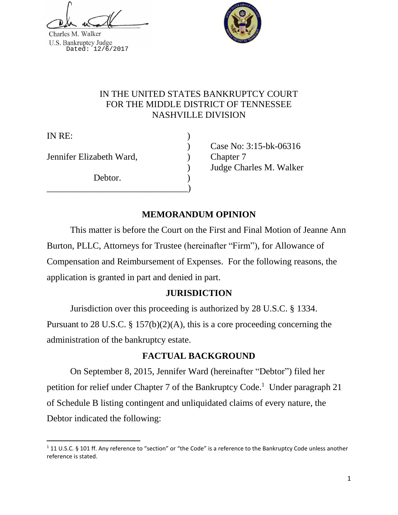Charles M. Walker U.S. Bankruptcy Judge<br>Dated: 12/6/2017



# IN THE UNITED STATES BANKRUPTCY COURT FOR THE MIDDLE DISTRICT OF TENNESSEE NASHVILLE DIVISION

IN RE:

 $\overline{\phantom{a}}$ 

Jennifer Elizabeth Ward, ) Chapter 7

Debtor.

\_\_\_\_\_\_\_\_\_\_\_\_\_\_\_\_\_\_\_\_\_\_\_\_\_\_\_\_\_\_\_)

) Case No: 3:15-bk-06316 ) Judge Charles M. Walker

# **MEMORANDUM OPINION**

This matter is before the Court on the First and Final Motion of Jeanne Ann Burton, PLLC, Attorneys for Trustee (hereinafter "Firm"), for Allowance of Compensation and Reimbursement of Expenses. For the following reasons, the application is granted in part and denied in part.

# **JURISDICTION**

Jurisdiction over this proceeding is authorized by 28 U.S.C. § 1334. Pursuant to 28 U.S.C. § 157(b)(2)(A), this is a core proceeding concerning the

administration of the bankruptcy estate.

# **FACTUAL BACKGROUND**

On September 8, 2015, Jennifer Ward (hereinafter "Debtor") filed her petition for relief under Chapter 7 of the Bankruptcy Code.<sup>1</sup> Under paragraph 21 of Schedule B listing contingent and unliquidated claims of every nature, the Debtor indicated the following:

 $1$  11 U.S.C. § 101 ff. Any reference to "section" or "the Code" is a reference to the Bankruptcy Code unless another reference is stated.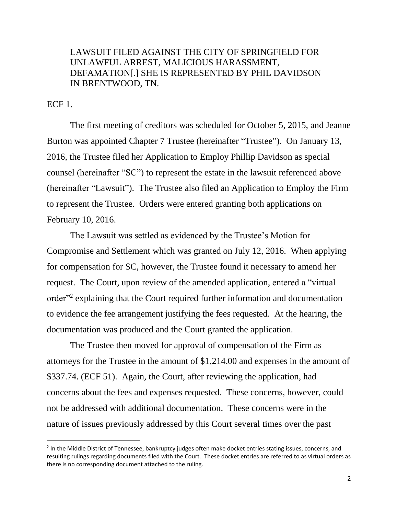# LAWSUIT FILED AGAINST THE CITY OF SPRINGFIELD FOR UNLAWFUL ARREST, MALICIOUS HARASSMENT, DEFAMATION[.] SHE IS REPRESENTED BY PHIL DAVIDSON IN BRENTWOOD, TN.

ECF 1.

 $\overline{\phantom{a}}$ 

The first meeting of creditors was scheduled for October 5, 2015, and Jeanne Burton was appointed Chapter 7 Trustee (hereinafter "Trustee"). On January 13, 2016, the Trustee filed her Application to Employ Phillip Davidson as special counsel (hereinafter "SC") to represent the estate in the lawsuit referenced above (hereinafter "Lawsuit"). The Trustee also filed an Application to Employ the Firm to represent the Trustee. Orders were entered granting both applications on February 10, 2016.

The Lawsuit was settled as evidenced by the Trustee's Motion for Compromise and Settlement which was granted on July 12, 2016. When applying for compensation for SC, however, the Trustee found it necessary to amend her request. The Court, upon review of the amended application, entered a "virtual order"<sup>2</sup> explaining that the Court required further information and documentation to evidence the fee arrangement justifying the fees requested. At the hearing, the documentation was produced and the Court granted the application.

The Trustee then moved for approval of compensation of the Firm as attorneys for the Trustee in the amount of \$1,214.00 and expenses in the amount of \$337.74. (ECF 51). Again, the Court, after reviewing the application, had concerns about the fees and expenses requested. These concerns, however, could not be addressed with additional documentation. These concerns were in the nature of issues previously addressed by this Court several times over the past

<sup>&</sup>lt;sup>2</sup> In the Middle District of Tennessee, bankruptcy judges often make docket entries stating issues, concerns, and resulting rulings regarding documents filed with the Court. These docket entries are referred to as virtual orders as there is no corresponding document attached to the ruling.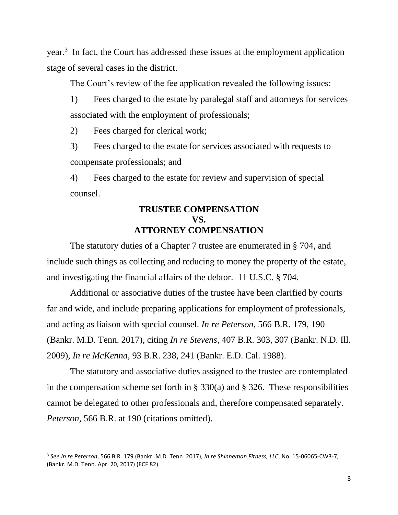year.<sup>3</sup> In fact, the Court has addressed these issues at the employment application stage of several cases in the district.

The Court's review of the fee application revealed the following issues:

1) Fees charged to the estate by paralegal staff and attorneys for services associated with the employment of professionals;

2) Fees charged for clerical work;

3) Fees charged to the estate for services associated with requests to compensate professionals; and

4) Fees charged to the estate for review and supervision of special counsel.

# **TRUSTEE COMPENSATION VS. ATTORNEY COMPENSATION**

The statutory duties of a Chapter 7 trustee are enumerated in § 704, and include such things as collecting and reducing to money the property of the estate, and investigating the financial affairs of the debtor. 11 U.S.C. § 704.

Additional or associative duties of the trustee have been clarified by courts far and wide, and include preparing applications for employment of professionals, and acting as liaison with special counsel. *In re Peterson*, 566 B.R. 179, 190 (Bankr. M.D. Tenn. 2017), citing *In re Stevens*, 407 B.R. 303, 307 (Bankr. N.D. Ill. 2009), *In re McKenna*, 93 B.R. 238, 241 (Bankr. E.D. Cal. 1988).

The statutory and associative duties assigned to the trustee are contemplated in the compensation scheme set forth in  $\S 330(a)$  and  $\S 326$ . These responsibilities cannot be delegated to other professionals and, therefore compensated separately. *Peterson*, 566 B.R. at 190 (citations omitted).

l

<sup>3</sup> *See In re Peterson*, 566 B.R. 179 (Bankr. M.D. Tenn. 2017), *In re Shinneman Fitness, LLC*, No. 15-06065-CW3-7, (Bankr. M.D. Tenn. Apr. 20, 2017) (ECF 82).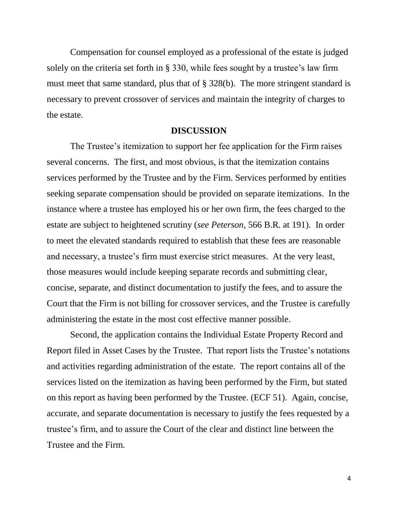Compensation for counsel employed as a professional of the estate is judged solely on the criteria set forth in § 330, while fees sought by a trustee's law firm must meet that same standard, plus that of § 328(b). The more stringent standard is necessary to prevent crossover of services and maintain the integrity of charges to the estate.

#### **DISCUSSION**

The Trustee's itemization to support her fee application for the Firm raises several concerns. The first, and most obvious, is that the itemization contains services performed by the Trustee and by the Firm. Services performed by entities seeking separate compensation should be provided on separate itemizations. In the instance where a trustee has employed his or her own firm, the fees charged to the estate are subject to heightened scrutiny (*see Peterson*, 566 B.R. at 191). In order to meet the elevated standards required to establish that these fees are reasonable and necessary, a trustee's firm must exercise strict measures. At the very least, those measures would include keeping separate records and submitting clear, concise, separate, and distinct documentation to justify the fees, and to assure the Court that the Firm is not billing for crossover services, and the Trustee is carefully administering the estate in the most cost effective manner possible.

Second, the application contains the Individual Estate Property Record and Report filed in Asset Cases by the Trustee. That report lists the Trustee's notations and activities regarding administration of the estate. The report contains all of the services listed on the itemization as having been performed by the Firm, but stated on this report as having been performed by the Trustee. (ECF 51). Again, concise, accurate, and separate documentation is necessary to justify the fees requested by a trustee's firm, and to assure the Court of the clear and distinct line between the Trustee and the Firm.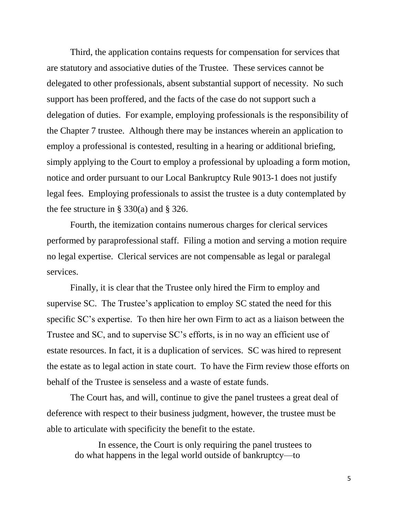Third, the application contains requests for compensation for services that are statutory and associative duties of the Trustee. These services cannot be delegated to other professionals, absent substantial support of necessity. No such support has been proffered, and the facts of the case do not support such a delegation of duties. For example, employing professionals is the responsibility of the Chapter 7 trustee. Although there may be instances wherein an application to employ a professional is contested, resulting in a hearing or additional briefing, simply applying to the Court to employ a professional by uploading a form motion, notice and order pursuant to our Local Bankruptcy Rule 9013-1 does not justify legal fees. Employing professionals to assist the trustee is a duty contemplated by the fee structure in § 330(a) and § 326.

Fourth, the itemization contains numerous charges for clerical services performed by paraprofessional staff. Filing a motion and serving a motion require no legal expertise. Clerical services are not compensable as legal or paralegal services.

Finally, it is clear that the Trustee only hired the Firm to employ and supervise SC. The Trustee's application to employ SC stated the need for this specific SC's expertise. To then hire her own Firm to act as a liaison between the Trustee and SC, and to supervise SC's efforts, is in no way an efficient use of estate resources. In fact, it is a duplication of services. SC was hired to represent the estate as to legal action in state court. To have the Firm review those efforts on behalf of the Trustee is senseless and a waste of estate funds.

The Court has, and will, continue to give the panel trustees a great deal of deference with respect to their business judgment, however, the trustee must be able to articulate with specificity the benefit to the estate.

In essence, the Court is only requiring the panel trustees to do what happens in the legal world outside of bankruptcy—to

5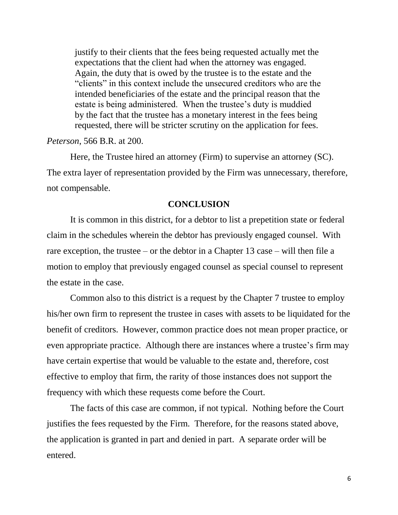justify to their clients that the fees being requested actually met the expectations that the client had when the attorney was engaged. Again, the duty that is owed by the trustee is to the estate and the "clients" in this context include the unsecured creditors who are the intended beneficiaries of the estate and the principal reason that the estate is being administered. When the trustee's duty is muddied by the fact that the trustee has a monetary interest in the fees being requested, there will be stricter scrutiny on the application for fees.

*Peterson*, 566 B.R. at 200.

Here, the Trustee hired an attorney (Firm) to supervise an attorney (SC). The extra layer of representation provided by the Firm was unnecessary, therefore, not compensable.

## **CONCLUSION**

It is common in this district, for a debtor to list a prepetition state or federal claim in the schedules wherein the debtor has previously engaged counsel. With rare exception, the trustee – or the debtor in a Chapter 13 case – will then file a motion to employ that previously engaged counsel as special counsel to represent the estate in the case.

Common also to this district is a request by the Chapter 7 trustee to employ his/her own firm to represent the trustee in cases with assets to be liquidated for the benefit of creditors. However, common practice does not mean proper practice, or even appropriate practice. Although there are instances where a trustee's firm may have certain expertise that would be valuable to the estate and, therefore, cost effective to employ that firm, the rarity of those instances does not support the frequency with which these requests come before the Court.

The facts of this case are common, if not typical. Nothing before the Court justifies the fees requested by the Firm. Therefore, for the reasons stated above, the application is granted in part and denied in part. A separate order will be entered.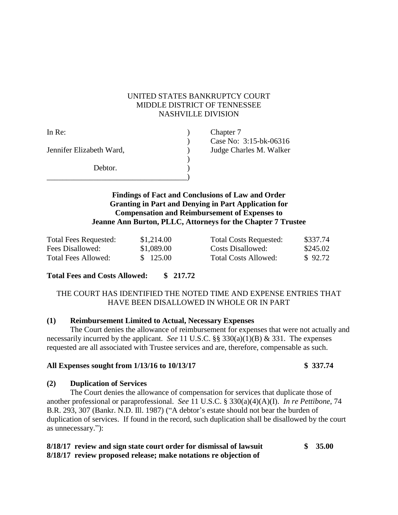#### UNITED STATES BANKRUPTCY COURT MIDDLE DISTRICT OF TENNESSEE NASHVILLE DIVISION

| In Re:                   | Chapter 7               |
|--------------------------|-------------------------|
|                          | Case No: 3:15-bk-06316  |
| Jennifer Elizabeth Ward, | Judge Charles M. Walker |
|                          |                         |
| Debtor.                  |                         |
|                          |                         |

## **Findings of Fact and Conclusions of Law and Order Granting in Part and Denying in Part Application for Compensation and Reimbursement of Expenses to Jeanne Ann Burton, PLLC, Attorneys for the Chapter 7 Trustee**

| <b>Total Fees Requested:</b> | \$1,214.00 | <b>Total Costs Requested:</b> | \$337.74 |
|------------------------------|------------|-------------------------------|----------|
| Fees Disallowed:             | \$1,089.00 | Costs Disallowed:             | \$245.02 |
| Total Fees Allowed:          | \$ 125.00  | Total Costs Allowed:          | \$92.72  |

| <b>Total Costs Requested:</b> | \$337.74 |
|-------------------------------|----------|
| Costs Disallowed:             | \$245.02 |
| <b>Total Costs Allowed:</b>   | \$92.72  |

## **Total Fees and Costs Allowed: \$ 217.72**

## THE COURT HAS IDENTIFIED THE NOTED TIME AND EXPENSE ENTRIES THAT HAVE BEEN DISALLOWED IN WHOLE OR IN PART

## **(1) Reimbursement Limited to Actual, Necessary Expenses**

The Court denies the allowance of reimbursement for expenses that were not actually and necessarily incurred by the applicant. *See* 11 U.S.C. §§ 330(a)(1)(B) & 331. The expenses requested are all associated with Trustee services and are, therefore, compensable as such.

#### **All Expenses sought from 1/13/16 to 10/13/17 \$ 337.74**

## **(2) Duplication of Services**

The Court denies the allowance of compensation for services that duplicate those of another professional or paraprofessional. *See* 11 U.S.C. § 330(a)(4)(A)(I). *In re Pettibone*, 74 B.R. 293, 307 (Bankr. N.D. Ill. 1987) ("A debtor's estate should not bear the burden of duplication of services. If found in the record, such duplication shall be disallowed by the court as unnecessary."):

## **8/18/17 review and sign state court order for dismissal of lawsuit \$ 35.00 8/18/17 review proposed release; make notations re objection of**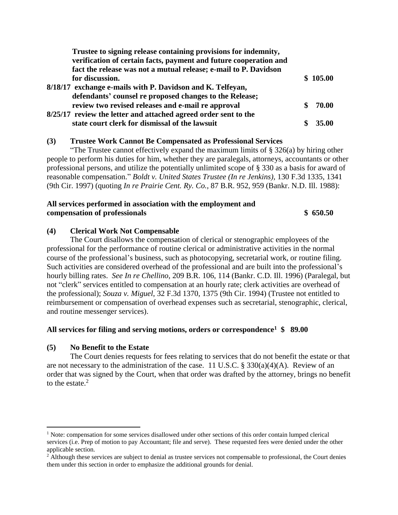| Trustee to signing release containing provisions for indemnity,   |     |          |
|-------------------------------------------------------------------|-----|----------|
| verification of certain facts, payment and future cooperation and |     |          |
| fact the release was not a mutual release; e-mail to P. Davidson  |     |          |
| for discussion.                                                   |     | \$105.00 |
| 8/18/17 exchange e-mails with P. Davidson and K. Telfeyan,        |     |          |
| defendants' counsel re proposed changes to the Release;           |     |          |
| review two revised releases and e-mail re approval                | SS. | 70.00    |
| 8/25/17 review the letter and attached agreed order sent to the   |     |          |
| state court clerk for dismissal of the lawsuit                    |     | 35 M     |

#### **(3) Trustee Work Cannot Be Compensated as Professional Services**

"The Trustee cannot effectively expand the maximum limits of  $\S 326(a)$  by hiring other people to perform his duties for him, whether they are paralegals, attorneys, accountants or other professional persons, and utilize the potentially unlimited scope of § 330 as a basis for award of reasonable compensation." *Boldt v. United States Trustee (In re Jenkins),* 130 F.3d 1335, 1341 (9th Cir. 1997) (quoting *In re Prairie Cent. Ry. Co.,* 87 B.R. 952, 959 (Bankr. N.D. Ill. 1988):

#### **All services performed in association with the employment and compensation of professionals \$ 650.50**

#### **(4) Clerical Work Not Compensable**

The Court disallows the compensation of clerical or stenographic employees of the professional for the performance of routine clerical or administrative activities in the normal course of the professional's business, such as photocopying, secretarial work, or routine filing. Such activities are considered overhead of the professional and are built into the professional's hourly billing rates. *See In re Chellino*, 209 B.R. 106, 114 (Bankr. C.D. Ill. 1996) (Paralegal, but not "clerk" services entitled to compensation at an hourly rate; clerk activities are overhead of the professional); *Souza v. Miguel*, 32 F.3d 1370, 1375 (9th Cir. 1994) (Trustee not entitled to reimbursement or compensation of overhead expenses such as secretarial, stenographic, clerical, and routine messenger services).

#### **All services for filing and serving motions, orders or correspondence<sup>1</sup> \$ 89.00**

#### **(5) No Benefit to the Estate**

 $\overline{a}$ 

The Court denies requests for fees relating to services that do not benefit the estate or that are not necessary to the administration of the case. 11 U.S.C. § 330(a)(4)(A). Review of an order that was signed by the Court, when that order was drafted by the attorney, brings no benefit to the estate. $2$ 

 $1$  Note: compensation for some services disallowed under other sections of this order contain lumped clerical services (i.e. Prep of motion to pay Accountant; file and serve). These requested fees were denied under the other applicable section.

<sup>&</sup>lt;sup>2</sup> Although these services are subject to denial as trustee services not compensable to professional, the Court denies them under this section in order to emphasize the additional grounds for denial.